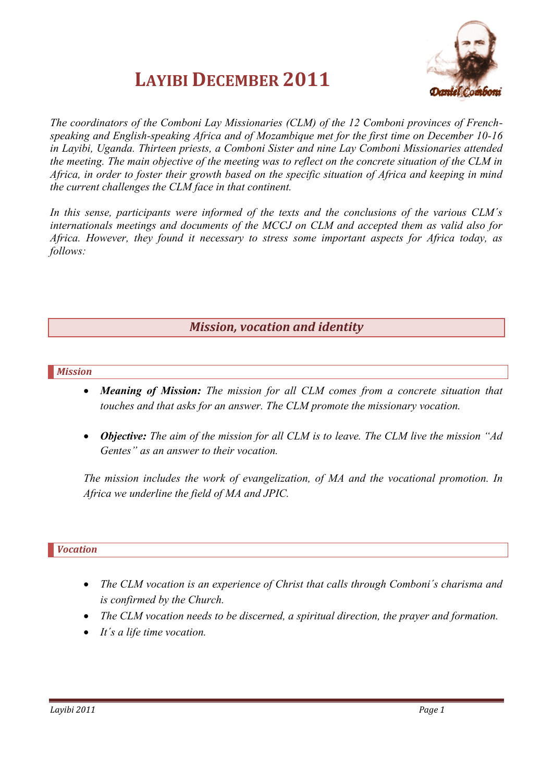



*The coordinators of the Comboni Lay Missionaries (CLM) of the 12 Comboni provinces of Frenchspeaking and English-speaking Africa and of Mozambique met for the first time on December 10-16 in Layibi, Uganda. Thirteen priests, a Comboni Sister and nine Lay Comboni Missionaries attended the meeting. The main objective of the meeting was to reflect on the concrete situation of the CLM in Africa, in order to foster their growth based on the specific situation of Africa and keeping in mind the current challenges the CLM face in that continent.*

*In this sense, participants were informed of the texts and the conclusions of the various CLM´s internationals meetings and documents of the MCCJ on CLM and accepted them as valid also for Africa. However, they found it necessary to stress some important aspects for Africa today, as follows:*

# *Mission, vocation and identity*

#### *Mission*

- *Meaning of Mission: The mission for all CLM comes from a concrete situation that touches and that asks for an answer. The CLM promote the missionary vocation.*
- *Objective: The aim of the mission for all CLM is to leave. The CLM live the mission "Ad Gentes" as an answer to their vocation.*

*The mission includes the work of evangelization, of MA and the vocational promotion. In Africa we underline the field of MA and JPIC.*

#### *Vocation*

- *The CLM vocation is an experience of Christ that calls through Comboni´s charisma and is confirmed by the Church.*
- *The CLM vocation needs to be discerned, a spiritual direction, the prayer and formation.*
- *It´s a life time vocation.*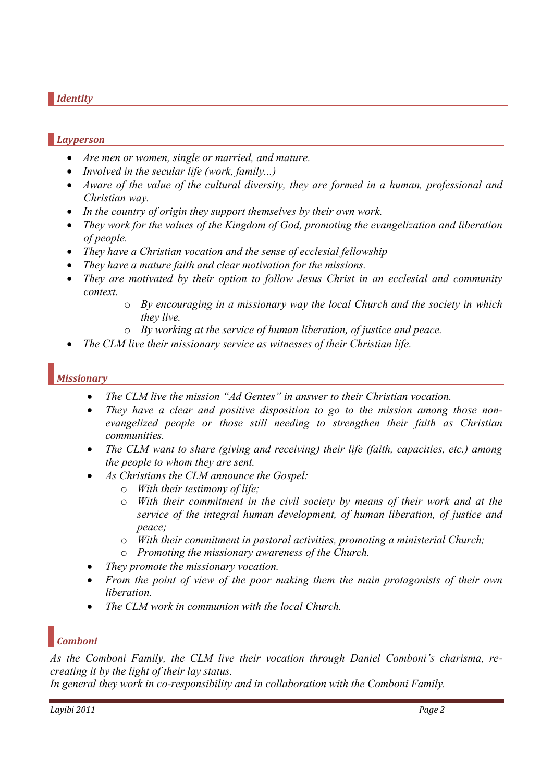#### *Identity*

## *Layperson*

- *Are men or women, single or married, and mature.*
- *Involved in the secular life (work, family...)*
- *Aware of the value of the cultural diversity, they are formed in a human, professional and Christian way.*
- *In the country of origin they support themselves by their own work.*
- *They work for the values of the Kingdom of God, promoting the evangelization and liberation of people.*
- *They have a Christian vocation and the sense of ecclesial fellowship*
- *They have a mature faith and clear motivation for the missions.*
- *They are motivated by their option to follow Jesus Christ in an ecclesial and community context.*
	- o *By encouraging in a missionary way the local Church and the society in which they live.*
	- o *By working at the service of human liberation, of justice and peace.*
- *The CLM live their missionary service as witnesses of their Christian life.*

## *Missionary*

- *The CLM live the mission "Ad Gentes" in answer to their Christian vocation.*
- *They have a clear and positive disposition to go to the mission among those nonevangelized people or those still needing to strengthen their faith as Christian communities.*
- *The CLM want to share (giving and receiving) their life (faith, capacities, etc.) among the people to whom they are sent.*
- *As Christians the CLM announce the Gospel:*
	- o *With their testimony of life;*
	- o *With their commitment in the civil society by means of their work and at the service of the integral human development, of human liberation, of justice and peace;*
	- o *With their commitment in pastoral activities, promoting a ministerial Church;*
	- o *Promoting the missionary awareness of the Church.*
- *They promote the missionary vocation.*
- *From the point of view of the poor making them the main protagonists of their own liberation.*
- *The CLM work in communion with the local Church.*

# *Comboni*

*As the Comboni Family, the CLM live their vocation through Daniel Comboni"s charisma, recreating it by the light of their lay status.* 

*In general they work in co-responsibility and in collaboration with the Comboni Family.*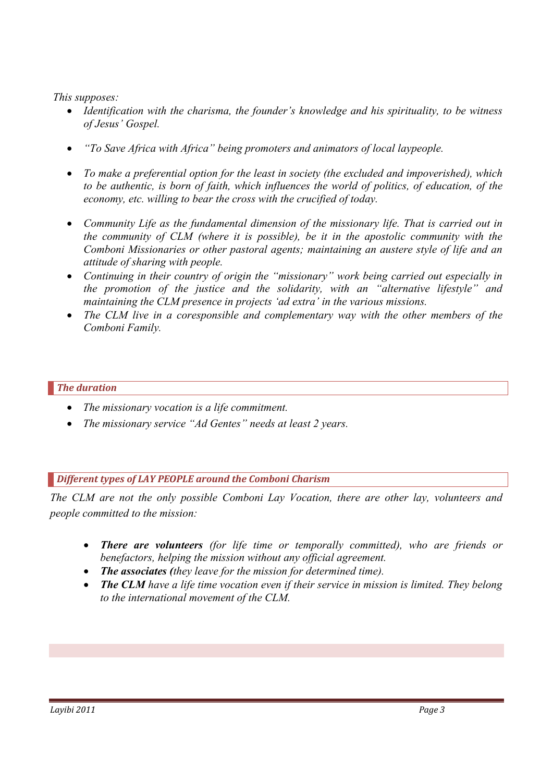*This supposes:*

- *Identification with the charisma, the founder"s knowledge and his spirituality, to be witness of Jesus" Gospel.*
- *"To Save Africa with Africa" being promoters and animators of local laypeople.*
- *To make a preferential option for the least in society (the excluded and impoverished), which to be authentic, is born of faith, which influences the world of politics, of education, of the economy, etc. willing to bear the cross with the crucified of today.*
- *Community Life as the fundamental dimension of the missionary life. That is carried out in the community of CLM (where it is possible), be it in the apostolic community with the Comboni Missionaries or other pastoral agents; maintaining an austere style of life and an attitude of sharing with people.*
- *Continuing in their country of origin the "missionary" work being carried out especially in the promotion of the justice and the solidarity, with an "alternative lifestyle" and maintaining the CLM presence in projects 'ad extra' in the various missions.*
- *The CLM live in a coresponsible and complementary way with the other members of the Comboni Family.*

## *The duration*

- *The missionary vocation is a life commitment.*
- *The missionary service "Ad Gentes" needs at least 2 years.*

## *Different types of LAY PEOPLE around the Comboni Charism*

*The CLM are not the only possible Comboni Lay Vocation, there are other lay, volunteers and people committed to the mission:*

- *There are volunteers (for life time or temporally committed), who are friends or benefactors, helping the mission without any official agreement.*
- *The associates (they leave for the mission for determined time).*
- *The CLM have a life time vocation even if their service in mission is limited. They belong to the international movement of the CLM.*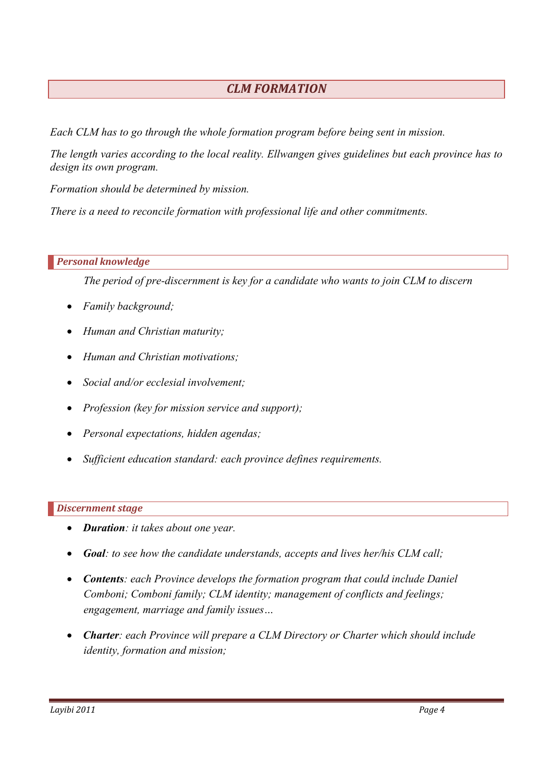# *CLM FORMATION*

*Each CLM has to go through the whole formation program before being sent in mission.*

*The length varies according to the local reality. Ellwangen gives guidelines but each province has to design its own program.*

*Formation should be determined by mission.*

*There is a need to reconcile formation with professional life and other commitments.*

## *Personal knowledge*

*The period of pre-discernment is key for a candidate who wants to join CLM to discern*

- *Family background;*
- *Human and Christian maturity;*
- *Human and Christian motivations;*
- *Social and/or ecclesial involvement;*
- *Profession (key for mission service and support);*
- *Personal expectations, hidden agendas;*
- *Sufficient education standard: each province defines requirements.*

## *Discernment stage*

- *Duration: it takes about one year.*
- *Goal: to see how the candidate understands, accepts and lives her/his CLM call;*
- *Contents: each Province develops the formation program that could include Daniel Comboni; Comboni family; CLM identity; management of conflicts and feelings; engagement, marriage and family issues…*
- *Charter: each Province will prepare a CLM Directory or Charter which should include identity, formation and mission;*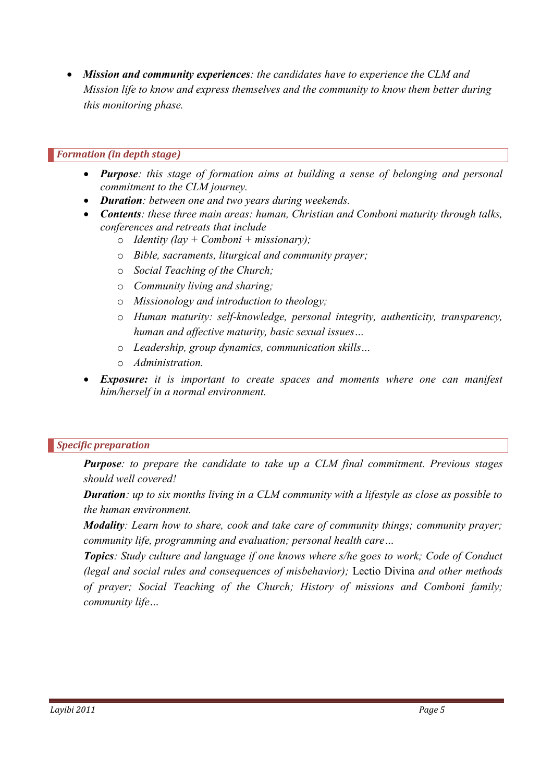*Mission and community experiences: the candidates have to experience the CLM and Mission life to know and express themselves and the community to know them better during this monitoring phase.*

### *Formation (in depth stage)*

- *Purpose: this stage of formation aims at building a sense of belonging and personal commitment to the CLM journey.*
- *Duration: between one and two years during weekends.*
- *Contents: these three main areas: human, Christian and Comboni maturity through talks, conferences and retreats that include*
	- o *Identity (lay + Comboni + missionary);*
	- o *Bible, sacraments, liturgical and community prayer;*
	- o *Social Teaching of the Church;*
	- o *Community living and sharing;*
	- o *Missionology and introduction to theology;*
	- o *Human maturity: self-knowledge, personal integrity, authenticity, transparency, human and affective maturity, basic sexual issues…*
	- o *Leadership, group dynamics, communication skills…*
	- o *Administration.*
- *Exposure: it is important to create spaces and moments where one can manifest him/herself in a normal environment.*

#### *Specific preparation*

*Purpose: to prepare the candidate to take up a CLM final commitment. Previous stages should well covered!*

*Duration: up to six months living in a CLM community with a lifestyle as close as possible to the human environment.*

*Modality: Learn how to share, cook and take care of community things; community prayer; community life, programming and evaluation; personal health care…*

*Topics: Study culture and language if one knows where s/he goes to work; Code of Conduct (legal and social rules and consequences of misbehavior);* Lectio Divina *and other methods of prayer; Social Teaching of the Church; History of missions and Comboni family; community life…*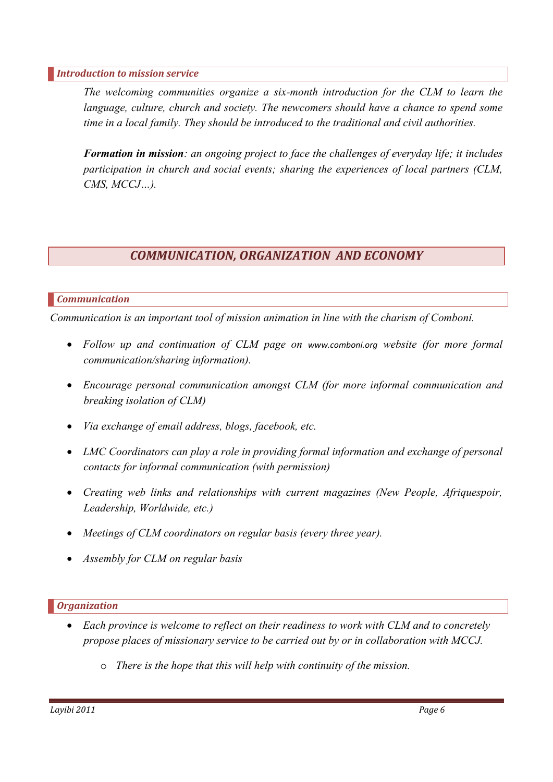#### *Introduction to mission service*

*The welcoming communities organize a six-month introduction for the CLM to learn the language, culture, church and society. The newcomers should have a chance to spend some time in a local family. They should be introduced to the traditional and civil authorities.*

*Formation in mission: an ongoing project to face the challenges of everyday life; it includes participation in church and social events; sharing the experiences of local partners (CLM, CMS, MCCJ…).*

# *COMMUNICATION, ORGANIZATION AND ECONOMY*

### *Communication*

*Communication is an important tool of mission animation in line with the charism of Comboni.* 

- *Follow up and continuation of CLM page on [www.comboni.org](http://www.comboni.org/) website (for more formal communication/sharing information).*
- *Encourage personal communication amongst CLM (for more informal communication and breaking isolation of CLM)*
- *Via exchange of email address, blogs, facebook, etc.*
- LMC Coordinators can play a role in providing formal information and exchange of personal *contacts for informal communication (with permission)*
- *Creating web links and relationships with current magazines (New People, Afriquespoir, Leadership, Worldwide, etc.)*
- *Meetings of CLM coordinators on regular basis (every three year).*
- *Assembly for CLM on regular basis*

#### *Organization*

- *Each province is welcome to reflect on their readiness to work with CLM and to concretely propose places of missionary service to be carried out by or in collaboration with MCCJ.*
	- o *There is the hope that this will help with continuity of the mission.*